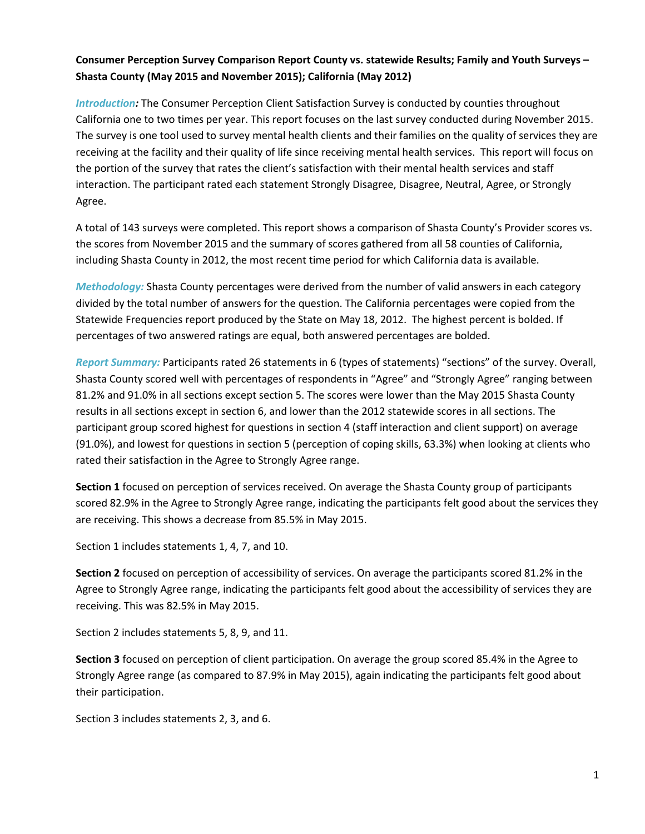## **Consumer Perception Survey Comparison Report County vs. statewide Results; Family and Youth Surveys – Shasta County (May 2015 and November 2015); California (May 2012)**

*Introduction:* The Consumer Perception Client Satisfaction Survey is conducted by counties throughout California one to two times per year. This report focuses on the last survey conducted during November 2015. The survey is one tool used to survey mental health clients and their families on the quality of services they are receiving at the facility and their quality of life since receiving mental health services. This report will focus on the portion of the survey that rates the client's satisfaction with their mental health services and staff interaction. The participant rated each statement Strongly Disagree, Disagree, Neutral, Agree, or Strongly Agree.

A total of 143 surveys were completed. This report shows a comparison of Shasta County's Provider scores vs. the scores from November 2015 and the summary of scores gathered from all 58 counties of California, including Shasta County in 2012, the most recent time period for which California data is available.

*Methodology:* Shasta County percentages were derived from the number of valid answers in each category divided by the total number of answers for the question. The California percentages were copied from the Statewide Frequencies report produced by the State on May 18, 2012. The highest percent is bolded. If percentages of two answered ratings are equal, both answered percentages are bolded.

*Report Summary:* Participants rated 26 statements in 6 (types of statements) "sections" of the survey. Overall, Shasta County scored well with percentages of respondents in "Agree" and "Strongly Agree" ranging between 81.2% and 91.0% in all sections except section 5. The scores were lower than the May 2015 Shasta County results in all sections except in section 6, and lower than the 2012 statewide scores in all sections. The participant group scored highest for questions in section 4 (staff interaction and client support) on average (91.0%), and lowest for questions in section 5 (perception of coping skills, 63.3%) when looking at clients who rated their satisfaction in the Agree to Strongly Agree range.

**Section 1** focused on perception of services received. On average the Shasta County group of participants scored 82.9% in the Agree to Strongly Agree range, indicating the participants felt good about the services they are receiving. This shows a decrease from 85.5% in May 2015.

Section 1 includes statements 1, 4, 7, and 10.

**Section 2** focused on perception of accessibility of services. On average the participants scored 81.2% in the Agree to Strongly Agree range, indicating the participants felt good about the accessibility of services they are receiving. This was 82.5% in May 2015.

Section 2 includes statements 5, 8, 9, and 11.

**Section 3** focused on perception of client participation. On average the group scored 85.4% in the Agree to Strongly Agree range (as compared to 87.9% in May 2015), again indicating the participants felt good about their participation.

Section 3 includes statements 2, 3, and 6.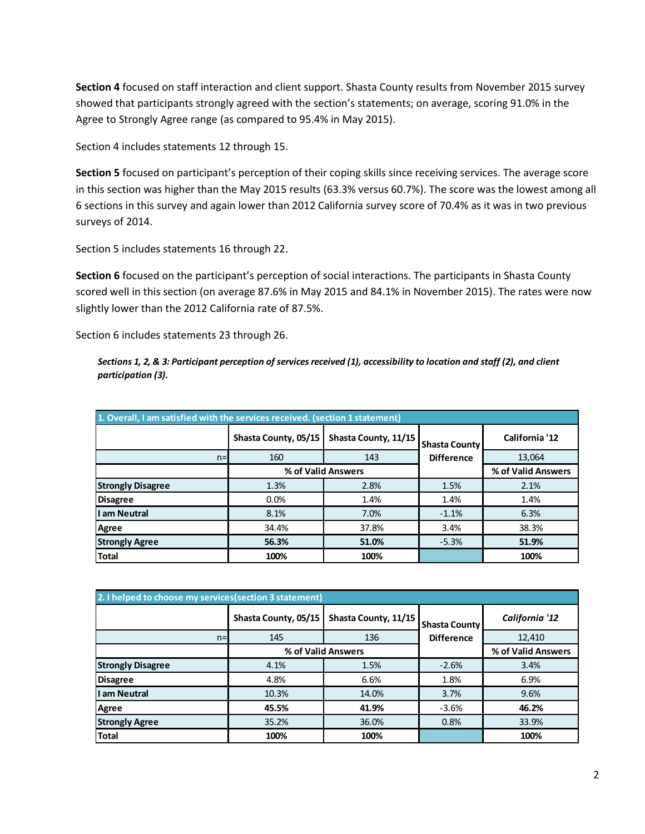**Section 4** focused on staff interaction and client support. Shasta County results from November 2015 survey showed that participants strongly agreed with the section's statements; on average, scoring 91.0% in the Agree to Strongly Agree range (as compared to 95.4% in May 2015).

Section 4 includes statements 12 through 15.

**Section 5** focused on participant's perception of their coping skills since receiving services. The average score in this section was higher than the May 2015 results (63.3% versus 60.7%). The score was the lowest among all 6 sections in this survey and again lower than 2012 California survey score of 70.4% as it was in two previous surveys of 2014.

Section 5 includes statements 16 through 22.

**Section 6** focused on the participant's perception of social interactions. The participants in Shasta County scored well in this section (on average 87.6% in May 2015 and 84.1% in November 2015). The rates were now slightly lower than the 2012 California rate of 87.5%.

Section 6 includes statements 23 through 26.

*Sections 1, 2, & 3: Participant perception of services received (1), accessibility to location and staff (2), and client participation (3).*

| 1. Overall, I am satisfied with the services received. (section 1 statement) |                      |                      |                                           |                    |  |
|------------------------------------------------------------------------------|----------------------|----------------------|-------------------------------------------|--------------------|--|
|                                                                              | Shasta County, 05/15 | Shasta County, 11/15 | <b>Shasta County</b><br><b>Difference</b> | California '12     |  |
| $n=$                                                                         | 160                  | 143                  |                                           | 13,064             |  |
|                                                                              | % of Valid Answers   |                      |                                           | % of Valid Answers |  |
| <b>Strongly Disagree</b>                                                     | 1.3%                 | 2.8%                 | 1.5%                                      | 2.1%               |  |
| <b>Disagree</b>                                                              | 0.0%                 | 1.4%                 | 1.4%                                      | 1.4%               |  |
| I am Neutral                                                                 | 8.1%                 | 7.0%                 | $-1.1%$                                   | 6.3%               |  |
| Agree                                                                        | 34.4%                | 37.8%                | 3.4%                                      | 38.3%              |  |
| <b>Strongly Agree</b>                                                        | 56.3%                | 51.0%                | $-5.3%$                                   | 51.9%              |  |
| <b>Total</b>                                                                 | 100%                 | 100%                 |                                           | 100%               |  |

| 2. I helped to choose my services (section 3 statement) |                      |                      |                                           |                    |  |
|---------------------------------------------------------|----------------------|----------------------|-------------------------------------------|--------------------|--|
|                                                         | Shasta County, 05/15 | Shasta County, 11/15 | <b>Shasta County</b><br><b>Difference</b> | California '12     |  |
| $n=$                                                    | 145                  | 136                  |                                           | 12,410             |  |
|                                                         |                      | % of Valid Answers   |                                           | % of Valid Answers |  |
| <b>Strongly Disagree</b>                                | 4.1%                 | 1.5%                 | $-2.6%$                                   | 3.4%               |  |
| <b>Disagree</b>                                         | 4.8%                 | 6.6%                 | 1.8%                                      | 6.9%               |  |
| I am Neutral                                            | 10.3%                | 14.0%                | 3.7%                                      | 9.6%               |  |
| Agree                                                   | 45.5%                | 41.9%                | $-3.6%$                                   | 46.2%              |  |
| <b>Strongly Agree</b>                                   | 35.2%                | 36.0%                | 0.8%                                      | 33.9%              |  |
| Total                                                   | 100%                 | 100%                 |                                           | 100%               |  |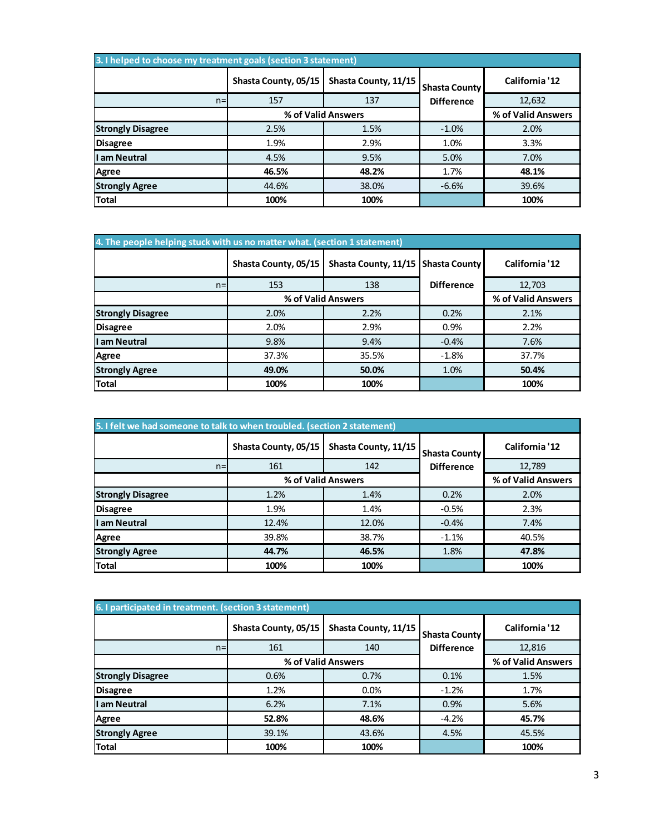| 3. I helped to choose my treatment goals (section 3 statement) |                      |                      |                                           |                    |  |
|----------------------------------------------------------------|----------------------|----------------------|-------------------------------------------|--------------------|--|
|                                                                | Shasta County, 05/15 | Shasta County, 11/15 | <b>Shasta County</b><br><b>Difference</b> | California '12     |  |
| $n =$                                                          | 157                  | 137                  |                                           | 12,632             |  |
|                                                                | % of Valid Answers   |                      |                                           | % of Valid Answers |  |
| <b>Strongly Disagree</b>                                       | 2.5%                 | 1.5%                 | $-1.0%$                                   | 2.0%               |  |
| <b>Disagree</b>                                                | 1.9%                 | 2.9%                 | 1.0%                                      | 3.3%               |  |
| I am Neutral                                                   | 4.5%                 | 9.5%                 | 5.0%                                      | 7.0%               |  |
| Agree                                                          | 46.5%                | 48.2%                | 1.7%                                      | 48.1%              |  |
| <b>Strongly Agree</b>                                          | 44.6%                | 38.0%                | $-6.6%$                                   | 39.6%              |  |
| <b>Total</b>                                                   | 100%                 | 100%                 |                                           | 100%               |  |

| 4. The people helping stuck with us no matter what. (section 1 statement) |                      |                      |                      |                    |  |
|---------------------------------------------------------------------------|----------------------|----------------------|----------------------|--------------------|--|
|                                                                           | Shasta County, 05/15 | Shasta County, 11/15 | <b>Shasta County</b> | California '12     |  |
| $n =$                                                                     | 153                  | 138                  | <b>Difference</b>    | 12,703             |  |
|                                                                           |                      | % of Valid Answers   |                      | % of Valid Answers |  |
| <b>Strongly Disagree</b>                                                  | 2.0%                 | 2.2%                 | 0.2%                 | 2.1%               |  |
| <b>Disagree</b>                                                           | 2.0%                 | 2.9%                 | 0.9%                 | 2.2%               |  |
| I am Neutral                                                              | 9.8%                 | 9.4%                 | $-0.4%$              | 7.6%               |  |
| <b>Agree</b>                                                              | 37.3%                | 35.5%                | $-1.8%$              | 37.7%              |  |
| <b>Strongly Agree</b>                                                     | 49.0%                | 50.0%                | 1.0%                 | 50.4%              |  |
| <b>Total</b>                                                              | 100%                 | 100%                 |                      | 100%               |  |

| 5. I felt we had someone to talk to when troubled. (section 2 statement) |                      |                      |                                           |                    |  |
|--------------------------------------------------------------------------|----------------------|----------------------|-------------------------------------------|--------------------|--|
|                                                                          | Shasta County, 05/15 | Shasta County, 11/15 | <b>Shasta County</b><br><b>Difference</b> | California '12     |  |
| $n =$                                                                    | 161                  | 142                  |                                           | 12,789             |  |
|                                                                          |                      | % of Valid Answers   |                                           | % of Valid Answers |  |
| <b>Strongly Disagree</b>                                                 | 1.2%                 | 1.4%                 | 0.2%                                      | 2.0%               |  |
| <b>Disagree</b>                                                          | 1.9%                 | 1.4%                 | $-0.5%$                                   | 2.3%               |  |
| I am Neutral                                                             | 12.4%                | 12.0%                | $-0.4%$                                   | 7.4%               |  |
| Agree                                                                    | 39.8%                | 38.7%                | $-1.1%$                                   | 40.5%              |  |
| <b>Strongly Agree</b>                                                    | 44.7%                | 46.5%                | 1.8%                                      | 47.8%              |  |
| <b>Total</b>                                                             | 100%                 | 100%                 |                                           | 100%               |  |

| 6. I participated in treatment. (section 3 statement) |                      |                      |                      |                    |  |
|-------------------------------------------------------|----------------------|----------------------|----------------------|--------------------|--|
|                                                       | Shasta County, 05/15 | Shasta County, 11/15 | <b>Shasta County</b> | California '12     |  |
| $n =$                                                 | 161                  | 140                  | <b>Difference</b>    | 12,816             |  |
|                                                       |                      | % of Valid Answers   |                      | % of Valid Answers |  |
| <b>Strongly Disagree</b>                              | 0.6%                 | 0.7%                 | 0.1%                 | 1.5%               |  |
| <b>Disagree</b>                                       | 1.2%                 | 0.0%                 | $-1.2%$              | 1.7%               |  |
| I am Neutral                                          | 6.2%                 | 7.1%                 | 0.9%                 | 5.6%               |  |
| <b>Agree</b>                                          | 52.8%                | 48.6%                | $-4.2%$              | 45.7%              |  |
| <b>Strongly Agree</b>                                 | 39.1%                | 43.6%                | 4.5%                 | 45.5%              |  |
| <b>Total</b>                                          | 100%                 | 100%                 |                      | 100%               |  |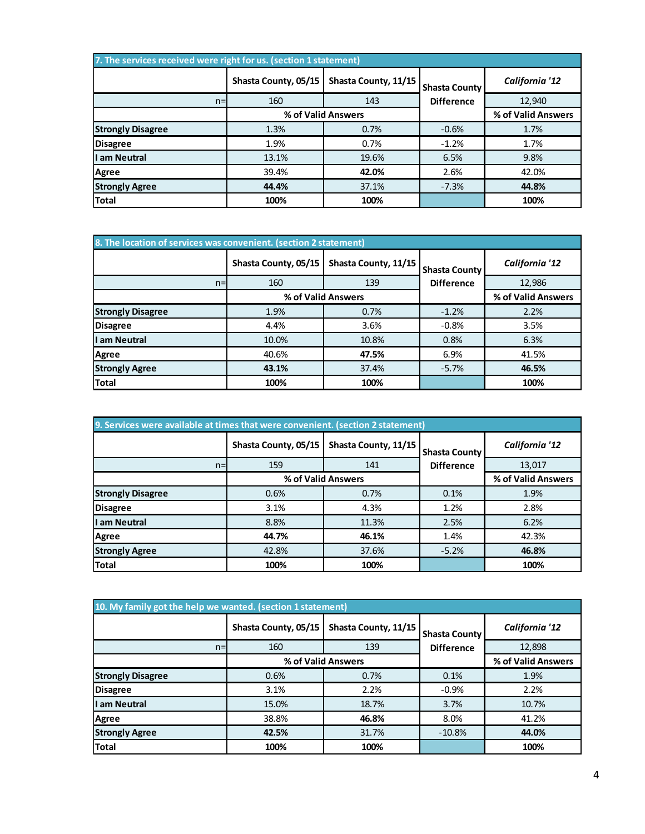| 7. The services received were right for us. (section 1 statement) |                      |                      |                                           |                    |  |
|-------------------------------------------------------------------|----------------------|----------------------|-------------------------------------------|--------------------|--|
|                                                                   | Shasta County, 05/15 | Shasta County, 11/15 | <b>Shasta County</b><br><b>Difference</b> | California '12     |  |
| $n =$                                                             | 160                  | 143                  |                                           | 12,940             |  |
|                                                                   |                      | % of Valid Answers   |                                           | % of Valid Answers |  |
| <b>Strongly Disagree</b>                                          | 1.3%                 | 0.7%                 | $-0.6%$                                   | 1.7%               |  |
| <b>Disagree</b>                                                   | 1.9%                 | 0.7%                 | $-1.2%$                                   | 1.7%               |  |
| I am Neutral                                                      | 13.1%                | 19.6%                | 6.5%                                      | 9.8%               |  |
| Agree                                                             | 39.4%                | 42.0%                | 2.6%                                      | 42.0%              |  |
| <b>Strongly Agree</b>                                             | 44.4%                | 37.1%                | $-7.3%$                                   | 44.8%              |  |
| <b>Total</b>                                                      | 100%                 | 100%                 |                                           | 100%               |  |

| 8. The location of services was convenient. (section 2 statement) |                      |                      |                                           |                    |  |
|-------------------------------------------------------------------|----------------------|----------------------|-------------------------------------------|--------------------|--|
|                                                                   | Shasta County, 05/15 | Shasta County, 11/15 | <b>Shasta County</b><br><b>Difference</b> | California '12     |  |
| $n=$                                                              | 160                  | 139                  |                                           | 12,986             |  |
|                                                                   |                      | % of Valid Answers   |                                           | % of Valid Answers |  |
| <b>Strongly Disagree</b>                                          | 1.9%                 | 0.7%                 | $-1.2%$                                   | 2.2%               |  |
| <b>Disagree</b>                                                   | 4.4%                 | 3.6%                 | $-0.8%$                                   | 3.5%               |  |
| I am Neutral                                                      | 10.0%                | 10.8%                | 0.8%                                      | 6.3%               |  |
| Agree                                                             | 40.6%                | 47.5%                | 6.9%                                      | 41.5%              |  |
| <b>Strongly Agree</b>                                             | 43.1%                | 37.4%                | $-5.7%$                                   | 46.5%              |  |
| <b>Total</b>                                                      | 100%                 | 100%                 |                                           | 100%               |  |

| 9. Services were available at times that were convenient. (section 2 statement) |                      |                      |                                           |                    |  |
|---------------------------------------------------------------------------------|----------------------|----------------------|-------------------------------------------|--------------------|--|
|                                                                                 | Shasta County, 05/15 | Shasta County, 11/15 | <b>Shasta County</b><br><b>Difference</b> | California '12     |  |
| $n=$                                                                            | 159                  | 141                  |                                           | 13,017             |  |
|                                                                                 |                      | % of Valid Answers   |                                           | % of Valid Answers |  |
| <b>Strongly Disagree</b>                                                        | 0.6%                 | 0.7%                 | 0.1%                                      | 1.9%               |  |
| <b>Disagree</b>                                                                 | 3.1%                 | 4.3%                 | 1.2%                                      | 2.8%               |  |
| I am Neutral                                                                    | 8.8%                 | 11.3%                | 2.5%                                      | 6.2%               |  |
| Agree                                                                           | 44.7%                | 46.1%                | 1.4%                                      | 42.3%              |  |
| <b>Strongly Agree</b>                                                           | 42.8%                | 37.6%                | $-5.2%$                                   | 46.8%              |  |
| <b>Total</b>                                                                    | 100%                 | 100%                 |                                           | 100%               |  |

| 10. My family got the help we wanted. (section 1 statement) |                      |                      |                                           |                    |  |
|-------------------------------------------------------------|----------------------|----------------------|-------------------------------------------|--------------------|--|
|                                                             | Shasta County, 05/15 | Shasta County, 11/15 | <b>Shasta County</b><br><b>Difference</b> | California '12     |  |
| $n=$                                                        | 160                  | 139                  |                                           | 12,898             |  |
|                                                             |                      | % of Valid Answers   |                                           | % of Valid Answers |  |
| <b>Strongly Disagree</b>                                    | 0.6%                 | 0.7%                 | 0.1%                                      | 1.9%               |  |
| <b>Disagree</b>                                             | 3.1%                 | 2.2%                 | $-0.9%$                                   | 2.2%               |  |
| I am Neutral                                                | 15.0%                | 18.7%                | 3.7%                                      | 10.7%              |  |
| Agree                                                       | 38.8%                | 46.8%                | 8.0%                                      | 41.2%              |  |
| <b>Strongly Agree</b>                                       | 42.5%                | 31.7%                | $-10.8%$                                  | 44.0%              |  |
| <b>Total</b>                                                | 100%                 | 100%                 |                                           | 100%               |  |
|                                                             |                      |                      |                                           |                    |  |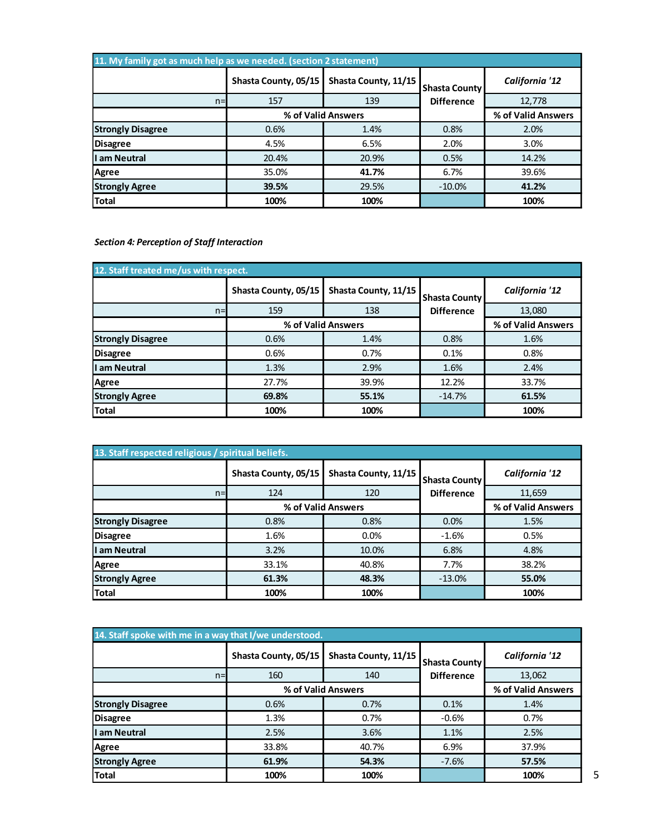| 11. My family got as much help as we needed. (section 2 statement) |                      |                      |                                           |                    |  |
|--------------------------------------------------------------------|----------------------|----------------------|-------------------------------------------|--------------------|--|
|                                                                    | Shasta County, 05/15 | Shasta County, 11/15 | <b>Shasta County</b><br><b>Difference</b> | California '12     |  |
| $n=$                                                               | 157                  | 139                  |                                           | 12,778             |  |
|                                                                    |                      | % of Valid Answers   |                                           | % of Valid Answers |  |
| <b>Strongly Disagree</b>                                           | 0.6%                 | 1.4%                 | 0.8%                                      | 2.0%               |  |
| <b>Disagree</b>                                                    | 4.5%                 | 6.5%                 | 2.0%                                      | 3.0%               |  |
| I am Neutral                                                       | 20.4%                | 20.9%                | 0.5%                                      | 14.2%              |  |
| Agree                                                              | 35.0%                | 41.7%                | 6.7%                                      | 39.6%              |  |
| <b>Strongly Agree</b>                                              | 39.5%                | 29.5%                | $-10.0%$                                  | 41.2%              |  |
| <b>Total</b>                                                       | 100%                 | 100%                 |                                           | 100%               |  |

*Section 4: Perception of Staff Interaction*

| 12. Staff treated me/us with respect. |                      |                      |                                           |                    |  |
|---------------------------------------|----------------------|----------------------|-------------------------------------------|--------------------|--|
|                                       | Shasta County, 05/15 | Shasta County, 11/15 | <b>Shasta County</b><br><b>Difference</b> | California '12     |  |
| $n=$                                  | 159                  | 138                  |                                           | 13,080             |  |
|                                       |                      | % of Valid Answers   |                                           | % of Valid Answers |  |
| <b>Strongly Disagree</b>              | 0.6%                 | 1.4%                 | 0.8%                                      | 1.6%               |  |
| <b>Disagree</b>                       | 0.6%                 | 0.7%                 | 0.1%                                      | 0.8%               |  |
| I am Neutral                          | 1.3%                 | 2.9%                 | 1.6%                                      | 2.4%               |  |
| <b>Agree</b>                          | 27.7%                | 39.9%                | 12.2%                                     | 33.7%              |  |
| <b>Strongly Agree</b>                 | 69.8%                | 55.1%                | $-14.7%$                                  | 61.5%              |  |
| <b>Total</b>                          | 100%                 | 100%                 |                                           | 100%               |  |

| 13. Staff respected religious / spiritual beliefs. |                      |                      |                                           |                    |  |
|----------------------------------------------------|----------------------|----------------------|-------------------------------------------|--------------------|--|
|                                                    | Shasta County, 05/15 | Shasta County, 11/15 | <b>Shasta County</b><br><b>Difference</b> | California '12     |  |
| $n=$                                               | 124                  | 120                  |                                           | 11,659             |  |
|                                                    |                      | % of Valid Answers   |                                           | % of Valid Answers |  |
| <b>Strongly Disagree</b>                           | 0.8%                 | 0.8%                 | 0.0%                                      | 1.5%               |  |
| <b>Disagree</b>                                    | 1.6%                 | 0.0%                 | $-1.6%$                                   | 0.5%               |  |
| I am Neutral                                       | 3.2%                 | 10.0%                | 6.8%                                      | 4.8%               |  |
| Agree                                              | 33.1%                | 40.8%                | 7.7%                                      | 38.2%              |  |
| <b>Strongly Agree</b>                              | 61.3%                | 48.3%                | $-13.0%$                                  | 55.0%              |  |
| <b>Total</b>                                       | 100%                 | 100%                 |                                           | 100%               |  |

| 14. Staff spoke with me in a way that I/we understood. |                      |                      |                                           |                    |  |
|--------------------------------------------------------|----------------------|----------------------|-------------------------------------------|--------------------|--|
|                                                        | Shasta County, 05/15 | Shasta County, 11/15 | <b>Shasta County</b><br><b>Difference</b> | California '12     |  |
| $n=$                                                   | 160                  | 140                  |                                           | 13,062             |  |
|                                                        |                      | % of Valid Answers   |                                           | % of Valid Answers |  |
| <b>Strongly Disagree</b>                               | 0.6%                 | 0.7%                 | 0.1%                                      | 1.4%               |  |
| <b>Disagree</b>                                        | 1.3%                 | 0.7%                 | $-0.6%$                                   | 0.7%               |  |
| I am Neutral                                           | 2.5%                 | 3.6%                 | 1.1%                                      | 2.5%               |  |
| Agree                                                  | 33.8%                | 40.7%                | 6.9%                                      | 37.9%              |  |
| <b>Strongly Agree</b>                                  | 61.9%                | 54.3%                | $-7.6%$                                   | 57.5%              |  |
| <b>Total</b>                                           | 100%                 | 100%                 |                                           | 100%               |  |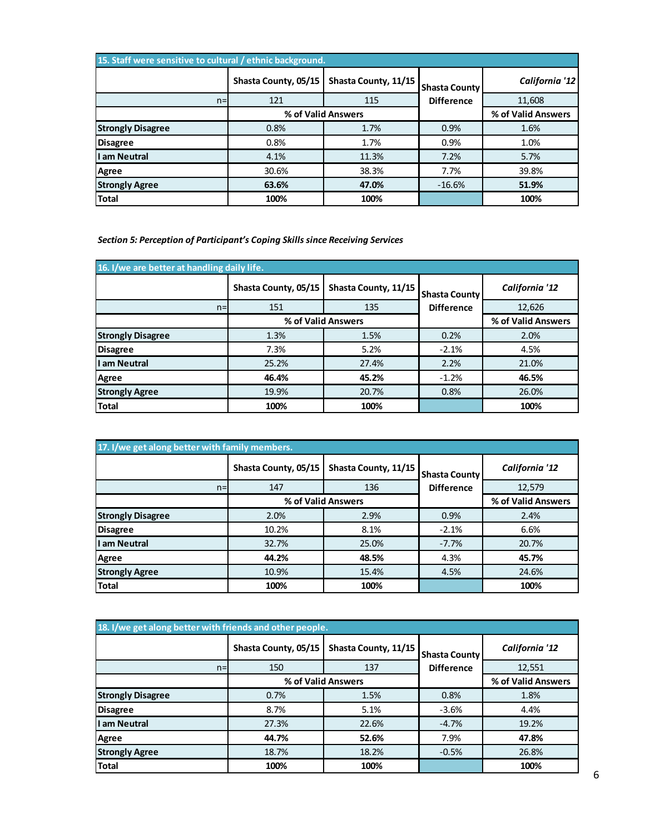| 15. Staff were sensitive to cultural / ethnic background. |                      |                      |                                           |                    |  |
|-----------------------------------------------------------|----------------------|----------------------|-------------------------------------------|--------------------|--|
|                                                           | Shasta County, 05/15 | Shasta County, 11/15 | <b>Shasta County</b><br><b>Difference</b> | California '12     |  |
| $n=$                                                      | 121                  | 115                  |                                           | 11,608             |  |
|                                                           |                      | % of Valid Answers   |                                           | % of Valid Answers |  |
| <b>Strongly Disagree</b>                                  | 0.8%                 | 1.7%                 | 0.9%                                      | 1.6%               |  |
| <b>Disagree</b>                                           | 0.8%                 | 1.7%                 | 0.9%                                      | 1.0%               |  |
| I am Neutral                                              | 4.1%                 | 11.3%                | 7.2%                                      | 5.7%               |  |
| Agree                                                     | 30.6%                | 38.3%                | 7.7%                                      | 39.8%              |  |
| <b>Strongly Agree</b>                                     | 63.6%                | 47.0%                | $-16.6%$                                  | 51.9%              |  |
| <b>Total</b>                                              | 100%                 | 100%                 |                                           | 100%               |  |

*Section 5: Perception of Participant's Coping Skills since Receiving Services*

| 16. I/we are better at handling daily life. |                      |                      |                                           |                    |  |
|---------------------------------------------|----------------------|----------------------|-------------------------------------------|--------------------|--|
|                                             | Shasta County, 05/15 | Shasta County, 11/15 | <b>Shasta County</b><br><b>Difference</b> | California '12     |  |
| $n=$                                        | 151                  | 135                  |                                           | 12,626             |  |
|                                             |                      | % of Valid Answers   |                                           | % of Valid Answers |  |
| <b>Strongly Disagree</b>                    | 1.3%                 | 1.5%                 | 0.2%                                      | 2.0%               |  |
| <b>Disagree</b>                             | 7.3%                 | 5.2%                 | $-2.1%$                                   | 4.5%               |  |
| I am Neutral                                | 25.2%                | 27.4%                | 2.2%                                      | 21.0%              |  |
| Agree                                       | 46.4%                | 45.2%                | $-1.2%$                                   | 46.5%              |  |
| <b>Strongly Agree</b>                       | 19.9%                | 20.7%                | 0.8%                                      | 26.0%              |  |
| <b>Total</b>                                | 100%                 | 100%                 |                                           | 100%               |  |

| 17. I/we get along better with family members. |                      |                      |                                           |                    |  |
|------------------------------------------------|----------------------|----------------------|-------------------------------------------|--------------------|--|
|                                                | Shasta County, 05/15 | Shasta County, 11/15 | <b>Shasta County</b><br><b>Difference</b> | California '12     |  |
| $n=$                                           | 147                  | 136                  |                                           | 12,579             |  |
|                                                |                      | % of Valid Answers   |                                           | % of Valid Answers |  |
| <b>Strongly Disagree</b>                       | 2.0%                 | 2.9%                 | 0.9%                                      | 2.4%               |  |
| <b>Disagree</b>                                | 10.2%                | 8.1%                 | $-2.1%$                                   | 6.6%               |  |
| I am Neutral                                   | 32.7%                | 25.0%                | $-7.7%$                                   | 20.7%              |  |
| Agree                                          | 44.2%                | 48.5%                | 4.3%                                      | 45.7%              |  |
| <b>Strongly Agree</b>                          | 10.9%                | 15.4%                | 4.5%                                      | 24.6%              |  |
| <b>Total</b>                                   | 100%                 | 100%                 |                                           | 100%               |  |

| 18. I/we get along better with friends and other people. |                      |                      |                                           |                    |  |
|----------------------------------------------------------|----------------------|----------------------|-------------------------------------------|--------------------|--|
|                                                          | Shasta County, 05/15 | Shasta County, 11/15 | <b>Shasta County</b><br><b>Difference</b> | California '12     |  |
| $n=$                                                     | 150                  | 137                  |                                           | 12,551             |  |
|                                                          |                      | % of Valid Answers   |                                           | % of Valid Answers |  |
| <b>Strongly Disagree</b>                                 | 0.7%                 | 1.5%                 | 0.8%                                      | 1.8%               |  |
| <b>Disagree</b>                                          | 8.7%                 | 5.1%                 | $-3.6%$                                   | 4.4%               |  |
| I am Neutral                                             | 27.3%                | 22.6%                | $-4.7%$                                   | 19.2%              |  |
| Agree                                                    | 44.7%                | 52.6%                | 7.9%                                      | 47.8%              |  |
| <b>Strongly Agree</b>                                    | 18.7%                | 18.2%                | $-0.5%$                                   | 26.8%              |  |
| Total                                                    | 100%                 | 100%                 |                                           | 100%               |  |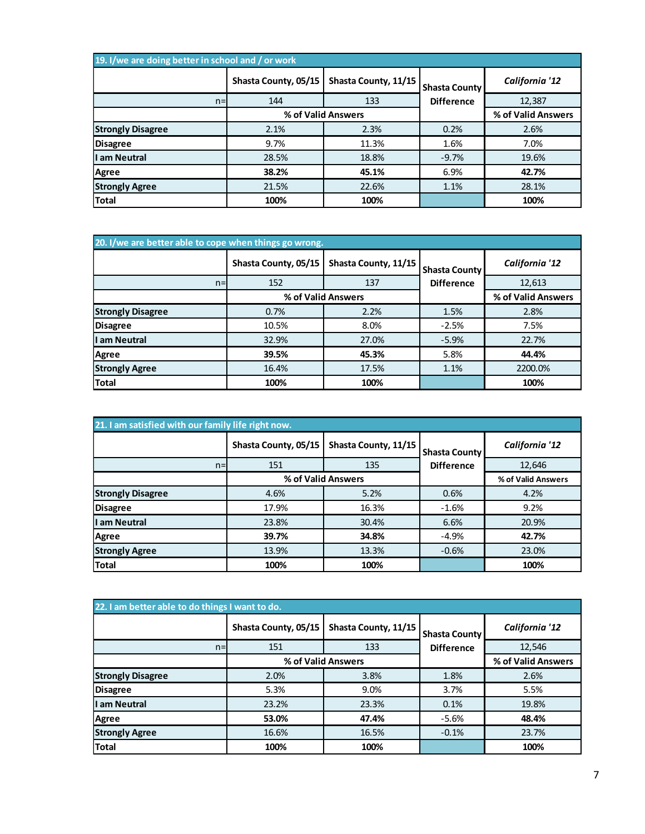| 19. I/we are doing better in school and / or work |                      |                      |                                           |                    |  |
|---------------------------------------------------|----------------------|----------------------|-------------------------------------------|--------------------|--|
|                                                   | Shasta County, 05/15 | Shasta County, 11/15 | <b>Shasta County</b><br><b>Difference</b> | California '12     |  |
| $n =$                                             | 144                  | 133                  |                                           | 12,387             |  |
|                                                   |                      | % of Valid Answers   |                                           | % of Valid Answers |  |
| <b>Strongly Disagree</b>                          | 2.1%                 | 2.3%                 | 0.2%                                      | 2.6%               |  |
| <b>Disagree</b>                                   | 9.7%                 | 11.3%                | 1.6%                                      | 7.0%               |  |
| I am Neutral                                      | 28.5%                | 18.8%                | $-9.7%$                                   | 19.6%              |  |
| <b>Agree</b>                                      | 38.2%                | 45.1%                | 6.9%                                      | 42.7%              |  |
| <b>Strongly Agree</b>                             | 21.5%                | 22.6%                | 1.1%                                      | 28.1%              |  |
| <b>Total</b>                                      | 100%                 | 100%                 |                                           | 100%               |  |

| 20. I/we are better able to cope when things go wrong. |                      |                      |                                           |                    |  |
|--------------------------------------------------------|----------------------|----------------------|-------------------------------------------|--------------------|--|
|                                                        | Shasta County, 05/15 | Shasta County, 11/15 | <b>Shasta County</b><br><b>Difference</b> | California '12     |  |
| $n=$                                                   | 152                  | 137                  |                                           | 12,613             |  |
|                                                        | % of Valid Answers   |                      |                                           | % of Valid Answers |  |
| <b>Strongly Disagree</b>                               | 0.7%                 | 2.2%                 | 1.5%                                      | 2.8%               |  |
| <b>Disagree</b>                                        | 10.5%                | 8.0%                 | $-2.5%$                                   | 7.5%               |  |
| I am Neutral                                           | 32.9%                | 27.0%                | $-5.9%$                                   | 22.7%              |  |
| <b>Agree</b>                                           | 39.5%                | 45.3%                | 5.8%                                      | 44.4%              |  |
| <b>Strongly Agree</b>                                  | 16.4%                | 17.5%                | 1.1%                                      | 2200.0%            |  |
| Total                                                  | 100%                 | 100%                 |                                           | 100%               |  |

| 21. I am satisfied with our family life right now. |                      |                      |                                           |                    |  |
|----------------------------------------------------|----------------------|----------------------|-------------------------------------------|--------------------|--|
|                                                    | Shasta County, 05/15 | Shasta County, 11/15 | <b>Shasta County</b><br><b>Difference</b> | California '12     |  |
| $n=$                                               | 151                  | 135                  |                                           | 12,646             |  |
|                                                    | % of Valid Answers   |                      |                                           | % of Valid Answers |  |
| <b>Strongly Disagree</b>                           | 4.6%                 | 5.2%                 | 0.6%                                      | 4.2%               |  |
| <b>Disagree</b>                                    | 17.9%                | 16.3%                | $-1.6%$                                   | 9.2%               |  |
| I am Neutral                                       | 23.8%                | 30.4%                | 6.6%                                      | 20.9%              |  |
| Agree                                              | 39.7%                | 34.8%                | $-4.9%$                                   | 42.7%              |  |
| <b>Strongly Agree</b>                              | 13.9%                | 13.3%                | $-0.6%$                                   | 23.0%              |  |
| <b>Total</b>                                       | 100%                 | 100%                 |                                           | 100%               |  |

| 22. I am better able to do things I want to do. |                      |                      |                      |                    |  |
|-------------------------------------------------|----------------------|----------------------|----------------------|--------------------|--|
|                                                 | Shasta County, 05/15 | Shasta County, 11/15 | <b>Shasta County</b> | California '12     |  |
| $n=$                                            | 151                  | 133                  | <b>Difference</b>    | 12,546             |  |
|                                                 |                      | % of Valid Answers   |                      | % of Valid Answers |  |
| <b>Strongly Disagree</b>                        | 2.0%                 | 3.8%                 | 1.8%                 | 2.6%               |  |
| <b>Disagree</b>                                 | 5.3%                 | 9.0%                 | 3.7%                 | 5.5%               |  |
| I am Neutral                                    | 23.2%                | 23.3%                | 0.1%                 | 19.8%              |  |
| Agree                                           | 53.0%                | 47.4%                | $-5.6%$              | 48.4%              |  |
| <b>Strongly Agree</b>                           | 16.6%                | 16.5%                | $-0.1%$              | 23.7%              |  |
| Total                                           | 100%                 | 100%                 |                      | 100%               |  |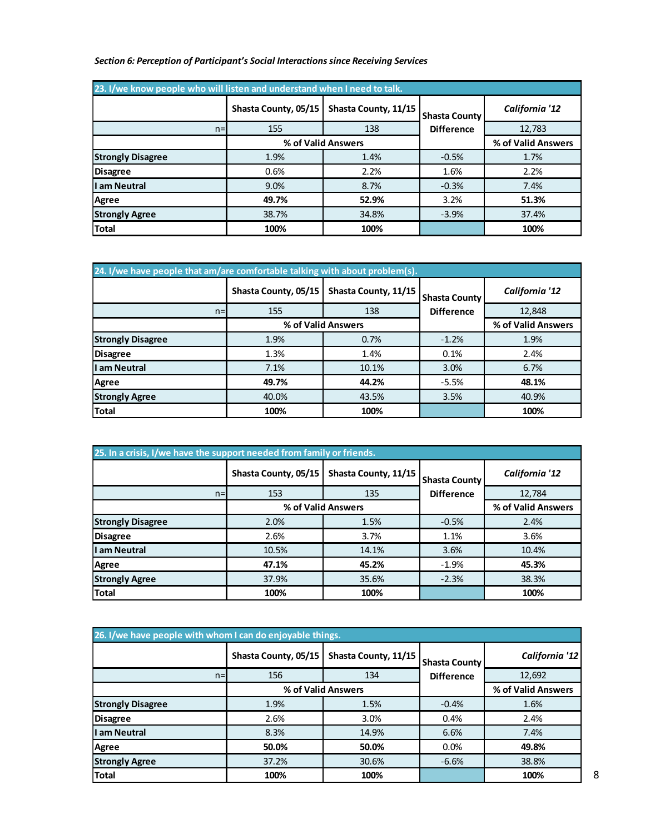| Section 6: Perception of Participant's Social Interactions since Receiving Services |  |  |  |
|-------------------------------------------------------------------------------------|--|--|--|
|-------------------------------------------------------------------------------------|--|--|--|

| 23. I/we know people who will listen and understand when I need to talk. |                      |                      |                                           |                    |  |
|--------------------------------------------------------------------------|----------------------|----------------------|-------------------------------------------|--------------------|--|
|                                                                          | Shasta County, 05/15 | Shasta County, 11/15 | <b>Shasta County</b><br><b>Difference</b> | California '12     |  |
| $n=$                                                                     | 155                  | 138                  |                                           | 12,783             |  |
|                                                                          |                      | % of Valid Answers   |                                           | % of Valid Answers |  |
| <b>Strongly Disagree</b>                                                 | 1.9%                 | 1.4%                 | $-0.5%$                                   | 1.7%               |  |
| <b>Disagree</b>                                                          | 0.6%                 | 2.2%                 | 1.6%                                      | 2.2%               |  |
| ll am Neutral                                                            | 9.0%                 | 8.7%                 | $-0.3%$                                   | 7.4%               |  |
| Agree                                                                    | 49.7%                | 52.9%                | 3.2%                                      | 51.3%              |  |
| <b>Strongly Agree</b>                                                    | 38.7%                | 34.8%                | $-3.9%$                                   | 37.4%              |  |
| <b>Total</b>                                                             | 100%                 | 100%                 |                                           | 100%               |  |

| 24. I/we have people that am/are comfortable talking with about problem(s). |                      |                      |                      |                    |  |
|-----------------------------------------------------------------------------|----------------------|----------------------|----------------------|--------------------|--|
|                                                                             | Shasta County, 05/15 | Shasta County, 11/15 | <b>Shasta County</b> | California '12     |  |
| $n=$                                                                        | 155                  | 138                  | <b>Difference</b>    | 12,848             |  |
|                                                                             | % of Valid Answers   |                      |                      | % of Valid Answers |  |
| <b>Strongly Disagree</b>                                                    | 1.9%                 | 0.7%                 | $-1.2%$              | 1.9%               |  |
| <b>Disagree</b>                                                             | 1.3%                 | 1.4%                 | 0.1%                 | 2.4%               |  |
| I am Neutral                                                                | 7.1%                 | 10.1%                | 3.0%                 | 6.7%               |  |
| Agree                                                                       | 49.7%                | 44.2%                | $-5.5%$              | 48.1%              |  |
| <b>Strongly Agree</b>                                                       | 40.0%                | 43.5%                | 3.5%                 | 40.9%              |  |
| <b>Total</b>                                                                | 100%                 | 100%                 |                      | 100%               |  |

| 25. In a crisis, I/we have the support needed from family or friends. |                      |                      |                                           |                    |  |
|-----------------------------------------------------------------------|----------------------|----------------------|-------------------------------------------|--------------------|--|
|                                                                       | Shasta County, 05/15 | Shasta County, 11/15 | <b>Shasta County</b><br><b>Difference</b> | California '12     |  |
| $n=$                                                                  | 153                  | 135                  |                                           | 12,784             |  |
|                                                                       | % of Valid Answers   |                      |                                           | % of Valid Answers |  |
| <b>Strongly Disagree</b>                                              | 2.0%                 | 1.5%                 | $-0.5%$                                   | 2.4%               |  |
| <b>Disagree</b>                                                       | 2.6%                 | 3.7%                 | 1.1%                                      | 3.6%               |  |
| I am Neutral                                                          | 10.5%                | 14.1%                | 3.6%                                      | 10.4%              |  |
| Agree                                                                 | 47.1%                | 45.2%                | $-1.9%$                                   | 45.3%              |  |
| <b>Strongly Agree</b>                                                 | 37.9%                | 35.6%                | $-2.3%$                                   | 38.3%              |  |
| <b>Total</b>                                                          | 100%                 | 100%                 |                                           | 100%               |  |

| 26. I/we have people with whom I can do enjoyable things. |                      |                      |                      |                    |  |
|-----------------------------------------------------------|----------------------|----------------------|----------------------|--------------------|--|
|                                                           | Shasta County, 05/15 | Shasta County, 11/15 | <b>Shasta County</b> | California '12     |  |
| $n=$                                                      | 156                  | 134                  | <b>Difference</b>    | 12,692             |  |
|                                                           | % of Valid Answers   |                      |                      | % of Valid Answers |  |
| <b>Strongly Disagree</b>                                  | 1.9%                 | 1.5%                 | $-0.4%$              | 1.6%               |  |
| <b>Disagree</b>                                           | 2.6%                 | 3.0%                 | 0.4%                 | 2.4%               |  |
| I am Neutral                                              | 8.3%                 | 14.9%                | 6.6%                 | 7.4%               |  |
| Agree                                                     | 50.0%                | 50.0%                | 0.0%                 | 49.8%              |  |
| <b>Strongly Agree</b>                                     | 37.2%                | 30.6%                | $-6.6%$              | 38.8%              |  |
| <b>Total</b>                                              | 100%                 | 100%                 |                      | 100%               |  |